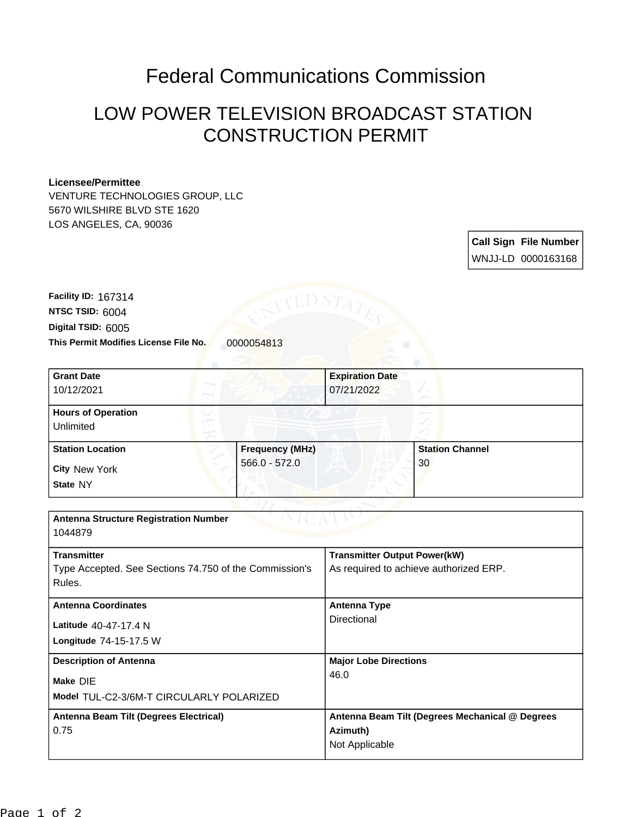## Federal Communications Commission

## LOW POWER TELEVISION BROADCAST STATION CONSTRUCTION PERMIT

## **Licensee/Permittee**

VENTURE TECHNOLOGIES GROUP, LLC 5670 WILSHIRE BLVD STE 1620 LOS ANGELES, CA, 90036

> **Call Sign File Number** WNJJ-LD 0000163168

This Permit Modifies License File No. 0000054813 **Digital TSID:** 6005 **NTSC TSID:** 6004 **Facility ID:** 167314

| <b>Grant Date</b>                                      |                        | <b>Expiration Date</b>                 |                                                 |
|--------------------------------------------------------|------------------------|----------------------------------------|-------------------------------------------------|
| 10/12/2021                                             |                        | 07/21/2022                             |                                                 |
| <b>Hours of Operation</b>                              |                        |                                        |                                                 |
| Unlimited                                              |                        |                                        |                                                 |
| <b>Station Location</b>                                | <b>Frequency (MHz)</b> |                                        | <b>Station Channel</b>                          |
| <b>City New York</b>                                   | $566.0 - 572.0$        |                                        | 30                                              |
| State NY                                               |                        |                                        |                                                 |
|                                                        |                        |                                        |                                                 |
| <b>Antenna Structure Registration Number</b>           |                        |                                        |                                                 |
| 1044879                                                |                        |                                        |                                                 |
| <b>Transmitter</b>                                     |                        | <b>Transmitter Output Power(kW)</b>    |                                                 |
| Type Accepted. See Sections 74.750 of the Commission's |                        | As required to achieve authorized ERP. |                                                 |
| Rules.                                                 |                        |                                        |                                                 |
| <b>Antenna Coordinates</b>                             |                        | <b>Antenna Type</b>                    |                                                 |
| Latitude 40-47-17.4 N                                  |                        | Directional                            |                                                 |
| Longitude 74-15-17.5 W                                 |                        |                                        |                                                 |
| <b>Description of Antenna</b>                          |                        | <b>Major Lobe Directions</b>           |                                                 |
| Make DIE                                               |                        | 46.0                                   |                                                 |
| Model TUL-C2-3/6M-T CIRCULARLY POLARIZED               |                        |                                        |                                                 |
| Antenna Beam Tilt (Degrees Electrical)                 |                        |                                        | Antenna Beam Tilt (Degrees Mechanical @ Degrees |
| 0.75                                                   |                        | Azimuth)                               |                                                 |
|                                                        |                        | Not Applicable                         |                                                 |
|                                                        |                        |                                        |                                                 |